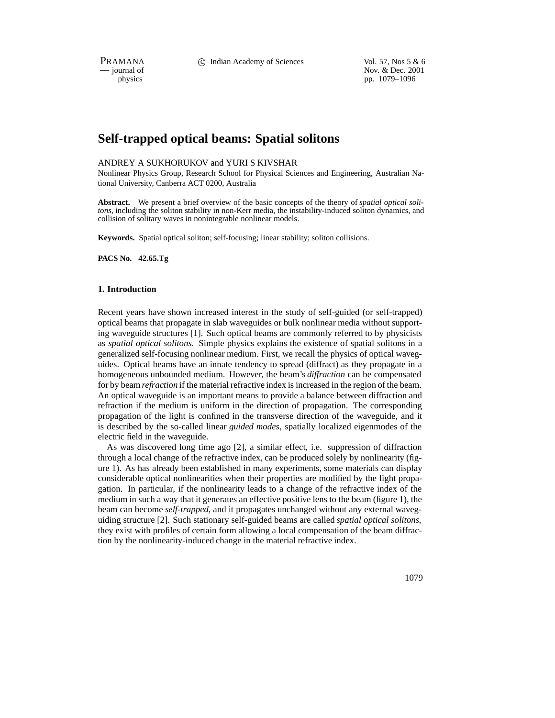PRAMANA 
compared to Compared Compared Compared Compared Compared Vol. 57, Nos 5 & 6<br>
compared to Compared Compared Nov. & Dec. 2001 position of the interval of Nov. & Dec. 2001<br>
position of the position of the interval of the interval of the interval of the interval of the interval of the interval of the interval of the interval of the interval of the pp. 1079–1096

# **Self-trapped optical beams: Spatial solitons**

## ANDREY A SUKHORUKOV and YURI S KIVSHAR

Nonlinear Physics Group, Research School for Physical Sciences and Engineering, Australian National University, Canberra ACT 0200, Australia

**Abstract.** We present a brief overview of the basic concepts of the theory of *spatial optical solitons*, including the soliton stability in non-Kerr media, the instability-induced soliton dynamics, and collision of solitary waves in nonintegrable nonlinear models.

**Keywords.** Spatial optical soliton; self-focusing; linear stability; soliton collisions.

**PACS No. 42.65.Tg**

## **1. Introduction**

Recent years have shown increased interest in the study of self-guided (or self-trapped) optical beams that propagate in slab waveguides or bulk nonlinear media without supporting waveguide structures [1]. Such optical beams are commonly referred to by physicists as *spatial optical solitons*. Simple physics explains the existence of spatial solitons in a generalized self-focusing nonlinear medium. First, we recall the physics of optical waveguides. Optical beams have an innate tendency to spread (diffract) as they propagate in a homogeneous unbounded medium. However, the beam's *diffraction* can be compensated for by beam *refraction* if the material refractive index is increased in the region of the beam. An optical waveguide is an important means to provide a balance between diffraction and refraction if the medium is uniform in the direction of propagation. The corresponding propagation of the light is confined in the transverse direction of the waveguide, and it is described by the so-called linear *guided modes*, spatially localized eigenmodes of the electric field in the waveguide.

As was discovered long time ago [2], a similar effect, i.e. suppression of diffraction through a local change of the refractive index, can be produced solely by nonlinearity (figure 1). As has already been established in many experiments, some materials can display considerable optical nonlinearities when their properties are modified by the light propagation. In particular, if the nonlinearity leads to a change of the refractive index of the medium in such a way that it generates an effective positive lens to the beam (figure 1), the beam can become *self-trapped*, and it propagates unchanged without any external waveguiding structure [2]. Such stationary self-guided beams are called *spatial optical solitons*, they exist with profiles of certain form allowing a local compensation of the beam diffraction by the nonlinearity-induced change in the material refractive index.

1079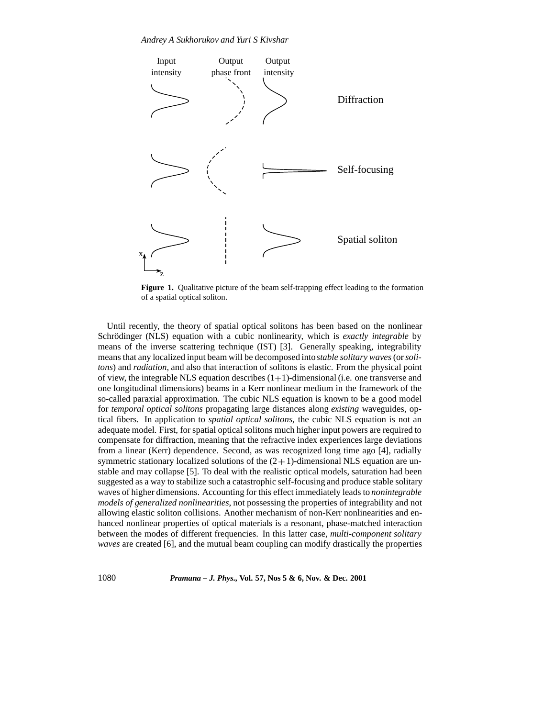

**Figure 1.** Qualitative picture of the beam self-trapping effect leading to the formation of a spatial optical soliton.

Until recently, the theory of spatial optical solitons has been based on the nonlinear Schrödinger (NLS) equation with a cubic nonlinearity, which is *exactly integrable* by means of the inverse scattering technique (IST) [3]. Generally speaking, integrability means that any localized input beam will be decomposed into*stable solitary waves* (or*solitons*) and *radiation*, and also that interaction of solitons is elastic. From the physical point of view, the integrable NLS equation describes  $(1+1)$ -dimensional (i.e. one transverse and one longitudinal dimensions) beams in a Kerr nonlinear medium in the framework of the so-called paraxial approximation. The cubic NLS equation is known to be a good model for *temporal optical solitons* propagating large distances along *existing* waveguides, optical fibers. In application to *spatial optical solitons*, the cubic NLS equation is not an adequate model. First, for spatial optical solitons much higher input powers are required to compensate for diffraction, meaning that the refractive index experiences large deviations from a linear (Kerr) dependence. Second, as was recognized long time ago [4], radially symmetric stationary localized solutions of the  $(2 + 1)$ -dimensional NLS equation are unstable and may collapse [5]. To deal with the realistic optical models, saturation had been suggested as a way to stabilize such a catastrophic self-focusing and produce stable solitary waves of higher dimensions. Accounting for this effect immediately leads to *nonintegrable models of generalized nonlinearities*, not possessing the properties of integrability and not allowing elastic soliton collisions. Another mechanism of non-Kerr nonlinearities and enhanced nonlinear properties of optical materials is a resonant, phase-matched interaction between the modes of different frequencies. In this latter case, *multi-component solitary waves* are created [6], and the mutual beam coupling can modify drastically the properties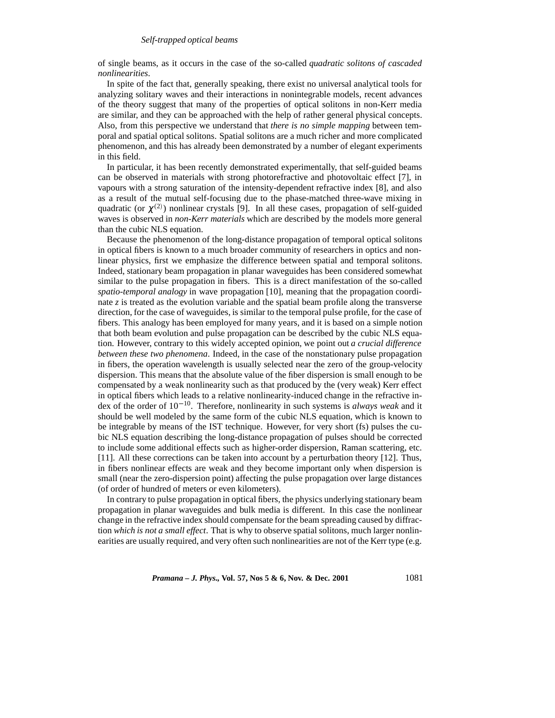of single beams, as it occurs in the case of the so-called *quadratic solitons of cascaded nonlinearities*.

In spite of the fact that, generally speaking, there exist no universal analytical tools for analyzing solitary waves and their interactions in nonintegrable models, recent advances of the theory suggest that many of the properties of optical solitons in non-Kerr media are similar, and they can be approached with the help of rather general physical concepts. Also, from this perspective we understand that *there is no simple mapping* between temporal and spatial optical solitons. Spatial solitons are a much richer and more complicated phenomenon, and this has already been demonstrated by a number of elegant experiments in this field.

In particular, it has been recently demonstrated experimentally, that self-guided beams can be observed in materials with strong photorefractive and photovoltaic effect [7], in vapours with a strong saturation of the intensity-dependent refractive index [8], and also as a result of the mutual self-focusing due to the phase-matched three-wave mixing in quadratic (or  $\chi^{(2)}$ ) nonlinear crystals [9]. In all these cases, propagation of self-guided waves is observed in *non-Kerr materials* which are described by the models more general than the cubic NLS equation.

Because the phenomenon of the long-distance propagation of temporal optical solitons in optical fibers is known to a much broader community of researchers in optics and nonlinear physics, first we emphasize the difference between spatial and temporal solitons. Indeed, stationary beam propagation in planar waveguides has been considered somewhat similar to the pulse propagation in fibers. This is a direct manifestation of the so-called *spatio-temporal analogy* in wave propagation [10], meaning that the propagation coordinate  $z$  is treated as the evolution variable and the spatial beam profile along the transverse direction, for the case of waveguides, is similar to the temporal pulse profile, for the case of fibers. This analogy has been employed for many years, and it is based on a simple notion that both beam evolution and pulse propagation can be described by the cubic NLS equation. However, contrary to this widely accepted opinion, we point out *a crucial difference between these two phenomena*. Indeed, in the case of the nonstationary pulse propagation in fibers, the operation wavelength is usually selected near the zero of the group-velocity dispersion. This means that the absolute value of the fiber dispersion is small enough to be compensated by a weak nonlinearity such as that produced by the (very weak) Kerr effect in optical fibers which leads to a relative nonlinearity-induced change in the refractive index of the order of  $10^{-10}$ . Therefore, nonlinearity in such systems is *always weak* and it should be well modeled by the same form of the cubic NLS equation, which is known to be integrable by means of the IST technique. However, for very short (fs) pulses the cubic NLS equation describing the long-distance propagation of pulses should be corrected to include some additional effects such as higher-order dispersion, Raman scattering, etc. [11]. All these corrections can be taken into account by a perturbation theory [12]. Thus, in fibers nonlinear effects are weak and they become important only when dispersion is small (near the zero-dispersion point) affecting the pulse propagation over large distances (of order of hundred of meters or even kilometers).

In contrary to pulse propagation in optical fibers, the physics underlying stationary beam propagation in planar waveguides and bulk media is different. In this case the nonlinear change in the refractive index should compensate for the beam spreading caused by diffraction *which is not a small effect*. That is why to observe spatial solitons, much larger nonlinearities are usually required, and very often such nonlinearities are not of the Kerr type (e.g.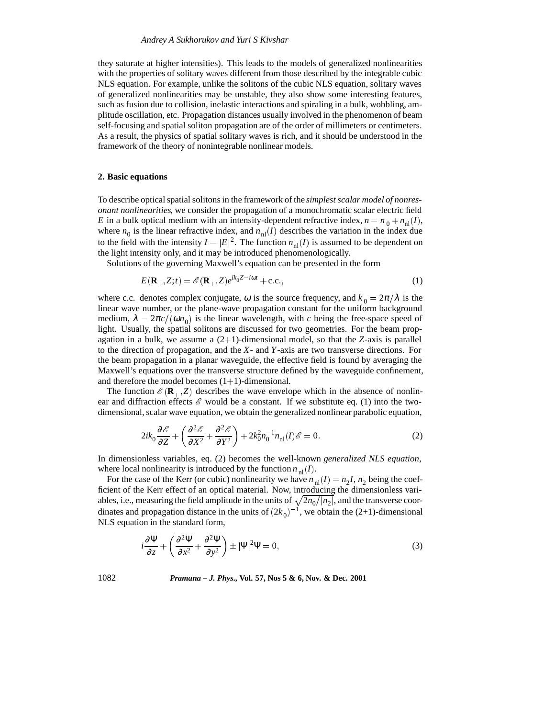they saturate at higher intensities). This leads to the models of generalized nonlinearities with the properties of solitary waves different from those described by the integrable cubic NLS equation. For example, unlike the solitons of the cubic NLS equation, solitary waves of generalized nonlinearities may be unstable, they also show some interesting features, such as fusion due to collision, inelastic interactions and spiraling in a bulk, wobbling, amplitude oscillation, etc. Propagation distances usually involved in the phenomenon of beam self-focusing and spatial soliton propagation are of the order of millimeters or centimeters. As a result, the physics of spatial solitary waves is rich, and it should be understood in the framework of the theory of nonintegrable nonlinear models.

#### **2. Basic equations**

To describe optical spatial solitons in the framework of the *simplest scalar model of nonresonant nonlinearities*, we consider the propagation of a monochromatic scalar electric field *E* in a bulk optical medium with an intensity-dependent refractive index,  $n = n_0 + n_{\text{nl}}(I)$ , where  $n_0$  is the linear refractive index, and  $n_{nl}(I)$  describes the variation in the index due to the field with the intensity  $I = |E|^2$ . The function  $n_{\text{nl}}(I)$  is assumed to be dependent on the light intensity only, and it may be introduced phenomenologically.

Solutions of the governing Maxwell's equation can be presented in the form

$$
E(\mathbf{R}_{\perp}, Z; t) = \mathcal{E}(\mathbf{R}_{\perp}, Z) e^{ik_0 Z - i\omega t} + \text{c.c.},
$$
\n(1)

where c.c. denotes complex conjugate,  $\omega$  is the source frequency, and  $k_0 = 2\pi/\lambda$  is the linear wave number, or the plane-wave propagation constant for the uniform background medium,  $\lambda = 2\pi c/(\omega n_0)$  is the linear wavelength, with *c* being the free-space speed of light. Usually, the spatial solitons are discussed for two geometries. For the beam propagation in a bulk, we assume a  $(2+1)$ -dimensional model, so that the *Z*-axis is parallel to the direction of propagation, and the *X*- and *Y*-axis are two transverse directions. For the beam propagation in a planar waveguide, the effective field is found by averaging the Maxwell's equations over the transverse structure defined by the waveguide confinement, and therefore the model becomes  $(1+1)$ -dimensional.

The function  $\mathscr{E}(\mathbf{R}_{\perp}, Z)$  describes the wave envelope which in the absence of nonlinear and diffraction effects  $\mathscr E$  would be a constant. If we substitute eq. (1) into the twodimensional, scalar wave equation, we obtain the generalized nonlinear parabolic equation,

$$
2ik_0\frac{\partial \mathcal{E}}{\partial Z} + \left(\frac{\partial^2 \mathcal{E}}{\partial X^2} + \frac{\partial^2 \mathcal{E}}{\partial Y^2}\right) + 2k_0^2n_0^{-1}n_{\rm nl}(I)\mathcal{E} = 0.
$$
 (2)

In dimensionless variables, eq. (2) becomes the well-known *generalized NLS equation*, where local nonlinearity is introduced by the function  $n_{nl}(I)$ .

For the case of the Kerr (or cubic) nonlinearity we have  $n_{nl}(I) = n_2I$ ,  $n_2$  being the coefficient of the Kerr effect of an optical material. Now, introducing the dimensionless variables, i.e., measuring the field amplitude in the units of  $\sqrt{2n_0/|n_2|}$ , and the transverse coordinates and propagation distance in the units of  $(2k_0)^{-1}$ , we obtain the (2+1)-dimensional NLS equation in the standard form,

$$
i\frac{\partial \Psi}{\partial z} + \left(\frac{\partial^2 \Psi}{\partial x^2} + \frac{\partial^2 \Psi}{\partial y^2}\right) \pm |\Psi|^2 \Psi = 0,
$$
\n(3)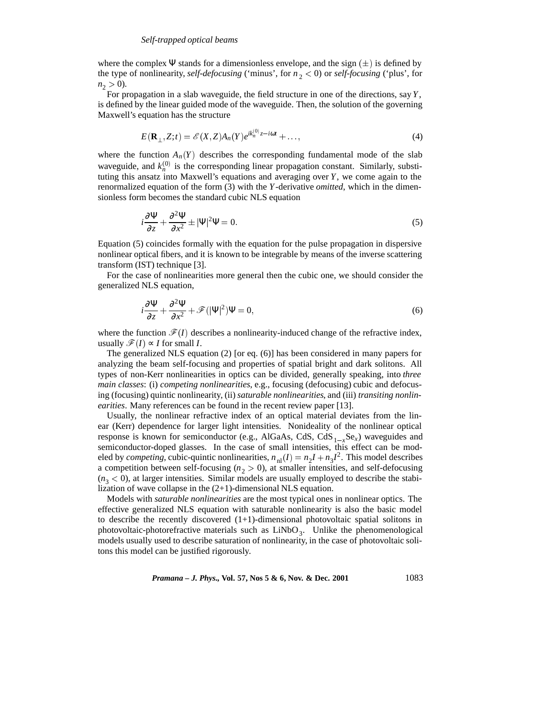where the complex Ψ stands for a dimensionless envelope, and the sign  $(\pm)$  is defined by the type of nonlinearity, *self-defocusing* ('minus', for  $n_2 < 0$ ) or *self-focusing* ('plus', for  $n_2 > 0$ ).

For propagation in a slab waveguide, the field structure in one of the directions, say *Y*, is defined by the linear guided mode of the waveguide. Then, the solution of the governing Maxwell's equation has the structure

$$
E(\mathbf{R}_{\perp}, Z; t) = \mathcal{E}(X, Z) A_n(Y) e^{ik_n^{(0)}} z^{-i\omega t} + \dots,
$$
\n<sup>(4)</sup>

where the function  $A_n(Y)$  describes the corresponding fundamental mode of the slab waveguide, and  $k_n^{(0)}$  is the corresponding linear propagation constant. Similarly, substituting this ansatz into Maxwell's equations and averaging over *Y*, we come again to the renormalized equation of the form (3) with the *Y*-derivative *omitted*, which in the dimensionless form becomes the standard cubic NLS equation

$$
i\frac{\partial \Psi}{\partial z} + \frac{\partial^2 \Psi}{\partial x^2} \pm |\Psi|^2 \Psi = 0.
$$
 (5)

Equation (5) coincides formally with the equation for the pulse propagation in dispersive nonlinear optical fibers, and it is known to be integrable by means of the inverse scattering transform (IST) technique [3].

For the case of nonlinearities more general then the cubic one, we should consider the generalized NLS equation,

$$
i\frac{\partial \Psi}{\partial z} + \frac{\partial^2 \Psi}{\partial x^2} + \mathcal{F}(|\Psi|^2)\Psi = 0,
$$
\n(6)

where the function  $\mathcal{F}(I)$  describes a nonlinearity-induced change of the refractive index, usually  $\mathcal{F}(I)$  ∝ *I* for small *I*.

The generalized NLS equation (2) [or eq. (6)] has been considered in many papers for analyzing the beam self-focusing and properties of spatial bright and dark solitons. All types of non-Kerr nonlinearities in optics can be divided, generally speaking, into *three main classes*: (i) *competing nonlinearities*, e.g., focusing (defocusing) cubic and defocusing (focusing) quintic nonlinearity, (ii) *saturable nonlinearities*, and (iii) *transiting nonlinearities*. Many references can be found in the recent review paper [13].

Usually, the nonlinear refractive index of an optical material deviates from the linear (Kerr) dependence for larger light intensities. Nonideality of the nonlinear optical response is known for semiconductor (e.g., AlGaAs, CdS, CdS<sub>1<sub>x</sub></sub>Se<sub>x</sub>) waveguides and semiconductor-doped glasses. In the case of small intensities, this effect can be modeled by *competing*, cubic-quintic nonlinearities,  $n_{nl}(I) = n_2I + n_3I^2$ . This model describes a competition between self-focusing  $(n<sub>2</sub> > 0)$ , at smaller intensities, and self-defocusing  $(n<sub>3</sub> < 0)$ , at larger intensities. Similar models are usually employed to describe the stabilization of wave collapse in the (2+1)-dimensional NLS equation.

Models with *saturable nonlinearities* are the most typical ones in nonlinear optics. The effective generalized NLS equation with saturable nonlinearity is also the basic model to describe the recently discovered  $(1+1)$ -dimensional photovoltaic spatial solitons in photovoltaic-photorefractive materials such as  $\text{LiNbO}_3$ . Unlike the phenomenological models usually used to describe saturation of nonlinearity, in the case of photovoltaic solitons this model can be justified rigorously.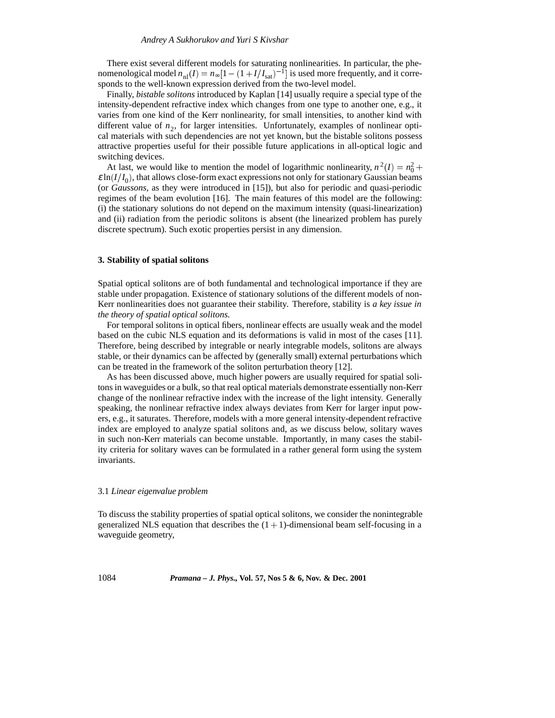There exist several different models for saturating nonlinearities. In particular, the phenomenological model  $n_{nl}(I) = n_{\infty}[1 - (1 + I/I_{sat})^{-1}]$  is used more frequently, and it corresponds to the well-known expression derived from the two-level model.

Finally, *bistable solitons* introduced by Kaplan [14] usually require a special type of the intensity-dependent refractive index which changes from one type to another one, e.g., it varies from one kind of the Kerr nonlinearity, for small intensities, to another kind with different value of  $n<sub>2</sub>$ , for larger intensities. Unfortunately, examples of nonlinear optical materials with such dependencies are not yet known, but the bistable solitons possess attractive properties useful for their possible future applications in all-optical logic and switching devices.

At last, we would like to mention the model of logarithmic nonlinearity,  $n^2(I) = n_0^2 +$  $\varepsilon$  ln( $I/I_0$ ), that allows close-form exact expressions not only for stationary Gaussian beams (or *Gaussons*, as they were introduced in [15]), but also for periodic and quasi-periodic regimes of the beam evolution [16]. The main features of this model are the following: (i) the stationary solutions do not depend on the maximum intensity (quasi-linearization) and (ii) radiation from the periodic solitons is absent (the linearized problem has purely discrete spectrum). Such exotic properties persist in any dimension.

#### **3. Stability of spatial solitons**

Spatial optical solitons are of both fundamental and technological importance if they are stable under propagation. Existence of stationary solutions of the different models of non-Kerr nonlinearities does not guarantee their stability. Therefore, stability is *a key issue in the theory of spatial optical solitons*.

For temporal solitons in optical fibers, nonlinear effects are usually weak and the model based on the cubic NLS equation and its deformations is valid in most of the cases [11]. Therefore, being described by integrable or nearly integrable models, solitons are always stable, or their dynamics can be affected by (generally small) external perturbations which can be treated in the framework of the soliton perturbation theory [12].

As has been discussed above, much higher powers are usually required for spatial solitons in waveguides or a bulk, so that real optical materials demonstrate essentially non-Kerr change of the nonlinear refractive index with the increase of the light intensity. Generally speaking, the nonlinear refractive index always deviates from Kerr for larger input powers, e.g., it saturates. Therefore, models with a more general intensity-dependent refractive index are employed to analyze spatial solitons and, as we discuss below, solitary waves in such non-Kerr materials can become unstable. Importantly, in many cases the stability criteria for solitary waves can be formulated in a rather general form using the system invariants.

#### 3.1 *Linear eigenvalue problem*

To discuss the stability properties of spatial optical solitons, we consider the nonintegrable generalized NLS equation that describes the  $(1 + 1)$ -dimensional beam self-focusing in a waveguide geometry,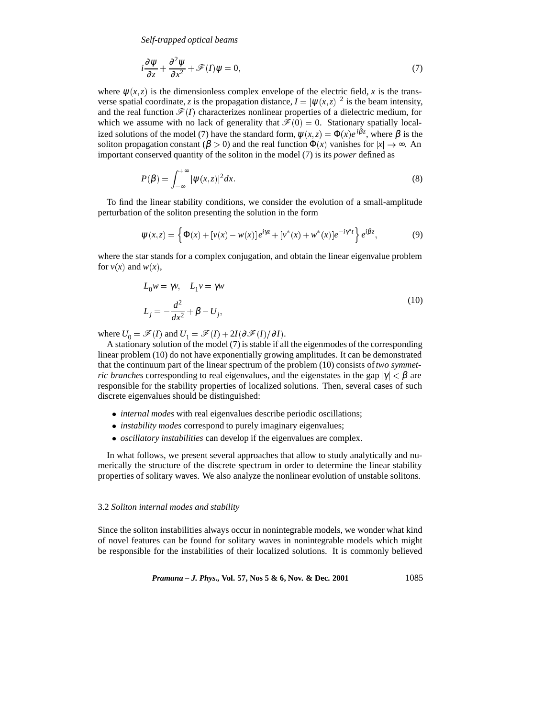$$
i\frac{\partial \psi}{\partial z} + \frac{\partial^2 \psi}{\partial x^2} + \mathcal{F}(I)\psi = 0,
$$
\n(7)

where  $\psi(x, z)$  is the dimensionless complex envelope of the electric field, x is the transverse spatial coordinate, *z* is the propagation distance,  $I = |\psi(x, z)|^2$  is the beam intensity, and the real function  $\mathcal{F}(I)$  characterizes nonlinear properties of a dielectric medium, for which we assume with no lack of generality that  $\mathcal{F}(0) = 0$ . Stationary spatially localized solutions of the model (7) have the standard form,  $\psi(x, z) = \Phi(x)e^{i\beta z}$ , where  $\beta$  is the soliton propagation constant ( $\beta > 0$ ) and the real function  $\Phi(x)$  vanishes for  $|x| \to \infty$ . An important conserved quantity of the soliton in the model (7) is its *power* defined as

$$
P(\beta) = \int_{-\infty}^{+\infty} |\psi(x, z)|^2 dx.
$$
 (8)

To find the linear stability conditions, we consider the evolution of a small-amplitude perturbation of the soliton presenting the solution in the form

$$
\psi(x,z) = \left\{ \Phi(x) + [v(x) - w(x)] e^{i\gamma z} + [v^*(x) + w^*(x)] e^{-i\gamma^* t} \right\} e^{i\beta z}, \tag{9}
$$

where the star stands for a complex conjugation, and obtain the linear eigenvalue problem for  $v(x)$  and  $w(x)$ ,

$$
L_0 w = \gamma v, \quad L_1 v = \gamma w
$$
  

$$
L_j = -\frac{d^2}{dx^2} + \beta - U_j,
$$
 (10)

where  $U_0 = \mathcal{F}(I)$  and  $U_1 = \mathcal{F}(I) + 2I(\partial \mathcal{F}(I)/\partial I)$ .

A stationary solution of the model (7) is stable if all the eigenmodes of the corresponding linear problem (10) do not have exponentially growing amplitudes. It can be demonstrated that the continuum part of the linear spectrum of the problem (10) consists of*two symmetric branches* corresponding to real eigenvalues, and the eigenstates in the gap  $|\gamma| < \beta$  are responsible for the stability properties of localized solutions. Then, several cases of such discrete eigenvalues should be distinguished:

- *internal modes* with real eigenvalues describe periodic oscillations;
- *instability modes* correspond to purely imaginary eigenvalues;
- *oscillatory instabilities* can develop if the eigenvalues are complex.

In what follows, we present several approaches that allow to study analytically and numerically the structure of the discrete spectrum in order to determine the linear stability properties of solitary waves. We also analyze the nonlinear evolution of unstable solitons.

## 3.2 *Soliton internal modes and stability*

Since the soliton instabilities always occur in nonintegrable models, we wonder what kind of novel features can be found for solitary waves in nonintegrable models which might be responsible for the instabilities of their localized solutions. It is commonly believed

*Pramana – J. Phys.*, Vol. 57, Nos 5 & 6, Nov. & Dec. 2001 
$$
1085
$$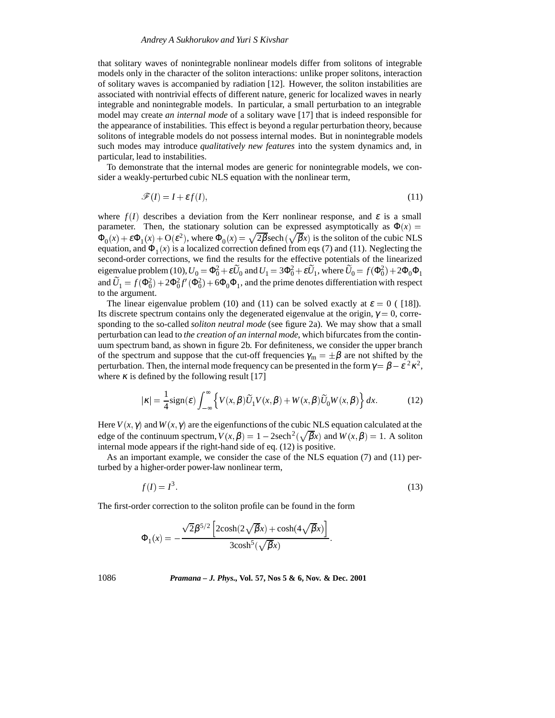that solitary waves of nonintegrable nonlinear models differ from solitons of integrable models only in the character of the soliton interactions: unlike proper solitons, interaction of solitary waves is accompanied by radiation [12]. However, the soliton instabilities are associated with nontrivial effects of different nature, generic for localized waves in nearly integrable and nonintegrable models. In particular, a small perturbation to an integrable model may create *an internal mode* of a solitary wave [17] that is indeed responsible for the appearance of instabilities. This effect is beyond a regular perturbation theory, because solitons of integrable models do not possess internal modes. But in nonintegrable models such modes may introduce *qualitatively new features* into the system dynamics and, in particular, lead to instabilities.

To demonstrate that the internal modes are generic for nonintegrable models, we consider a weakly-perturbed cubic NLS equation with the nonlinear term,

$$
\mathcal{F}(I) = I + \varepsilon f(I),\tag{11}
$$

where  $f(I)$  describes a deviation from the Kerr nonlinear response, and  $\varepsilon$  is a small parameter. Then, the stationary solution can be expressed asymptotically as  $\Phi(x)$  =  $\Phi_0(x) + \varepsilon \Phi_1(x) + O(\varepsilon^2)$ , where  $\Phi_0(x) = \sqrt{2\beta} \text{sech}(\sqrt{\beta}x)$  is the soliton of the cubic NLS equation, and  $\Phi_1(x)$  is a localized correction defined from eqs (7) and (11). Neglecting the second-order corrections, we find the results for the effective potentials of the linearized eigenvalue problem (10),  $U_0 = \Phi_0^2 + \varepsilon \widetilde{U}_0$  and  $U_1 = 3\Phi_0^2 + \varepsilon \widetilde{U}_1$ , where  $\widetilde{U}_0 = f(\Phi_0^2) + 2\Phi_0\Phi_1$ and  $\widetilde{U}_1 = f(\Phi_0^2) + 2\Phi_0^2 f'(\Phi_0^2) + 6\Phi_0\Phi_1$ , and the prime denotes differentiation with respect to the argument.

The linear eigenvalue problem (10) and (11) can be solved exactly at  $\varepsilon = 0$  ( [18]). Its discrete spectrum contains only the degenerated eigenvalue at the origin,  $\gamma = 0$ , corresponding to the so-called *soliton neutral mode* (see figure 2a). We may show that a small perturbation can lead to *the creation of an internal mode*, which bifurcates from the continuum spectrum band, as shown in figure 2b. For definiteness, we consider the upper branch of the spectrum and suppose that the cut-off frequencies  $\gamma_m = \pm \beta$  are not shifted by the perturbation. Then, the internal mode frequency can be presented in the form  $\gamma = \beta - \varepsilon^2 \kappa^2$ , where  $\kappa$  is defined by the following result [17]

$$
|\kappa| = \frac{1}{4}\text{sign}(\varepsilon) \int_{-\infty}^{\infty} \left\{ V(x,\beta)\widetilde{U}_1 V(x,\beta) + W(x,\beta)\widetilde{U}_0 W(x,\beta) \right\} dx.
$$
 (12)

Here  $V(x, \gamma)$  and  $W(x, \gamma)$  are the eigenfunctions of the cubic NLS equation calculated at the edge of the continuum spectrum,  $V(x, \beta) = 1 - 2\text{sech}^2(\sqrt{\beta}x)$  and  $W(x, \beta) = 1$ . A soliton internal mode appears if the right-hand side of eq. (12) is positive.

As an important example, we consider the case of the NLS equation (7) and (11) perturbed by a higher-order power-law nonlinear term,

$$
f(I) = I^3. \tag{13}
$$

:

The first-order correction to the soliton profile can be found in the form

$$
\Phi_1(x) = -\frac{\sqrt{2\beta^{5/2} \left[2\cosh(2\sqrt{\beta}x) + \cosh(4\sqrt{\beta}x)\right]}}{3\cosh^5(\sqrt{\beta}x)}.
$$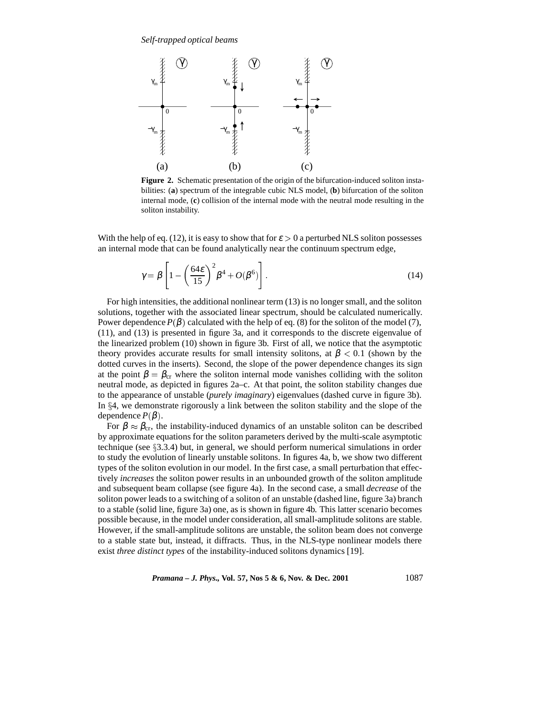

**Figure 2.** Schematic presentation of the origin of the bifurcation-induced soliton instabilities: (**a**) spectrum of the integrable cubic NLS model, (**b**) bifurcation of the soliton internal mode, (**c**) collision of the internal mode with the neutral mode resulting in the soliton instability.

With the help of eq. (12), it is easy to show that for  $\varepsilon > 0$  a perturbed NLS soliton possesses an internal mode that can be found analytically near the continuum spectrum edge,

$$
\gamma = \beta \left[ 1 - \left( \frac{64\varepsilon}{15} \right)^2 \beta^4 + O(\beta^6) \right].
$$
 (14)

For high intensities, the additional nonlinear term (13) is no longer small, and the soliton solutions, together with the associated linear spectrum, should be calculated numerically. Power dependence  $P(\beta)$  calculated with the help of eq. (8) for the soliton of the model (7), (11), and (13) is presented in figure 3a, and it corresponds to the discrete eigenvalue of the linearized problem (10) shown in figure 3b. First of all, we notice that the asymptotic theory provides accurate results for small intensity solitons, at  $\beta < 0.1$  (shown by the dotted curves in the inserts). Second, the slope of the power dependence changes its sign at the point  $\beta = \beta_{cr}$  where the soliton internal mode vanishes colliding with the soliton neutral mode, as depicted in figures 2a–c. At that point, the soliton stability changes due to the appearance of unstable (*purely imaginary*) eigenvalues (dashed curve in figure 3b). In  $\S 4$ , we demonstrate rigorously a link between the soliton stability and the slope of the dependence  $P(\beta)$ .

For  $\beta \approx \beta_{cr}$ , the instability-induced dynamics of an unstable soliton can be described by approximate equations for the soliton parameters derived by the multi-scale asymptotic technique (see  $\S 3.3.4$ ) but, in general, we should perform numerical simulations in order to study the evolution of linearly unstable solitons. In figures 4a, b, we show two different types of the soliton evolution in our model. In the first case, a small perturbation that effectively *increases* the soliton power results in an unbounded growth of the soliton amplitude and subsequent beam collapse (see figure 4a). In the second case, a small *decrease* of the soliton power leads to a switching of a soliton of an unstable (dashed line, figure 3a) branch to a stable (solid line, figure 3a) one, as is shown in figure 4b. This latter scenario becomes possible because, in the model under consideration, all small-amplitude solitons are stable. However, if the small-amplitude solitons are unstable, the soliton beam does not converge to a stable state but, instead, it diffracts. Thus, in the NLS-type nonlinear models there exist *three distinct types* of the instability-induced solitons dynamics [19].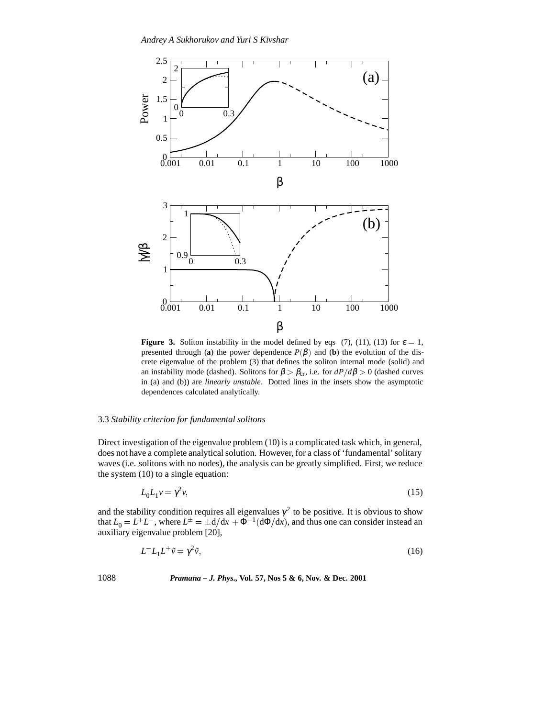

**Figure 3.** Soliton instability in the model defined by eqs (7), (11), (13) for  $\varepsilon = 1$ , presented through (**a**) the power dependence  $P(\beta)$  and (**b**) the evolution of the discrete eigenvalue of the problem (3) that defines the soliton internal mode (solid) and an instability mode (dashed). Solitons for  $\beta > \beta_{cr}$ , i.e. for  $dP/d\beta > 0$  (dashed curves in (a) and (b)) are *linearly unstable*. Dotted lines in the insets show the asymptotic dependences calculated analytically.

# 3.3 *Stability criterion for fundamental solitons*

Direct investigation of the eigenvalue problem (10) is a complicated task which, in general, does not have a complete analytical solution. However, for a class of 'fundamental' solitary waves (i.e. solitons with no nodes), the analysis can be greatly simplified. First, we reduce the system (10) to a single equation:

$$
L_0 L_1 v = \gamma^2 v,\tag{15}
$$

and the stability condition requires all eigenvalues  $\gamma^2$  to be positive. It is obvious to show that  $L_0 = L^+L^-$ , where  $L^{\pm} = \pm d/dx + \Phi^{-1}(d\Phi/dx)$ , and thus one can consider instead an auxiliary eigenvalue problem [20],

$$
L^-L_1L^+\tilde{v} = \gamma^2\tilde{v},\tag{16}
$$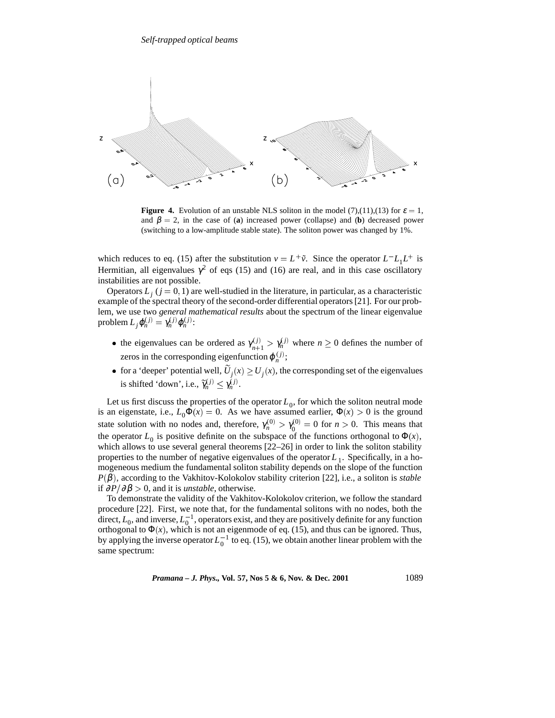

**Figure 4.** Evolution of an unstable NLS soliton in the model (7),(11),(13) for  $\varepsilon = 1$ , and  $\beta = 2$ , in the case of (**a**) increased power (collapse) and (**b**) decreased power (switching to a low-amplitude stable state). The soliton power was changed by 1%.

which reduces to eq. (15) after the substitution  $v = L^+ \tilde{v}$ . Since the operator  $L^- L_1 L^+$  is Hermitian, all eigenvalues  $\gamma^2$  of eqs (15) and (16) are real, and in this case oscillatory instabilities are not possible.

Operators  $L_j$  ( $j = 0, 1$ ) are well-studied in the literature, in particular, as a characteristic example of the spectral theory of the second-order differential operators [21]. For our problem, we use two *general mathematical results* about the spectrum of the linear eigenvalue problem  $L_j \varphi_n^{(j)} = \gamma_n^{(j)} \varphi_n^{(j)}$ :

- the eigenvalues can be ordered as  $\gamma_{n+1}^{(j)} > \gamma_n^{(j)}$  where  $n \ge 0$  defines the number of zeros in the corresponding eigenfunction  $\varphi_n^{(j)}$ ;
- for a 'deeper' potential well,  $U_j(x) \ge U_j(x)$ , the corresponding set of the eigenvalues is shifted 'down', i.e.,  $\widetilde{\gamma}_n^{(j)} \leq \gamma_n^{(j)}$ .

Let us first discuss the properties of the operator  $L_0$ , for which the soliton neutral mode is an eigenstate, i.e.,  $L_0 \Phi(x) = 0$ . As we have assumed earlier,  $\Phi(x) > 0$  is the ground state solution with no nodes and, therefore,  $\gamma_n^{(0)} > \gamma_0^{(0)} = 0$  for  $n > 0$ . This means that the operator  $L_0$  is positive definite on the subspace of the functions orthogonal to  $\Phi(x)$ , which allows to use several general theorems  $[22–26]$  in order to link the soliton stability properties to the number of negative eigenvalues of the operator  $L_1$ . Specifically, in a homogeneous medium the fundamental soliton stability depends on the slope of the function  $P(\beta)$ , according to the Vakhitov-Kolokolov stability criterion [22], i.e., a soliton is *stable* if  $∂P/∂β > 0$ , and it is *unstable*, otherwise.

To demonstrate the validity of the Vakhitov-Kolokolov criterion, we follow the standard procedure [22]. First, we note that, for the fundamental solitons with no nodes, both the direct,  $L_0$ , and inverse,  $L_0^{-1}$ , operators exist, and they are positively definite for any function orthogonal to  $\Phi(x)$ , which is not an eigenmode of eq. (15), and thus can be ignored. Thus, by applying the inverse operator  $L_0^{-1}$  to eq. (15), we obtain another linear problem with the same spectrum: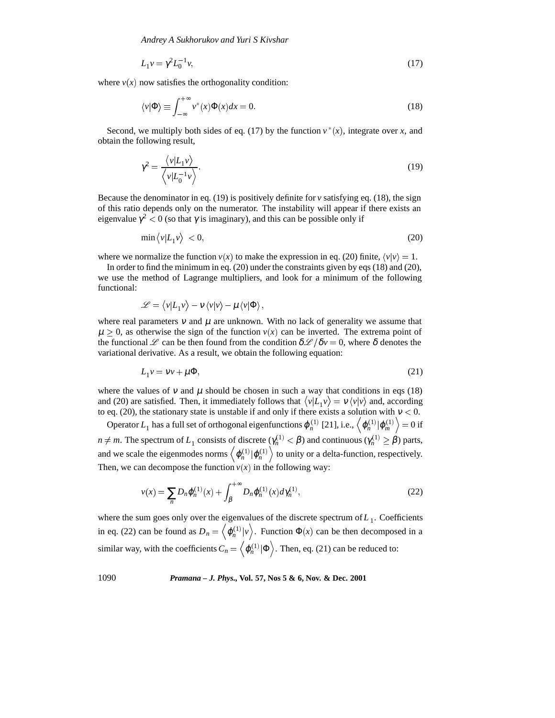$$
L_1 v = \gamma^2 L_0^{-1} v,\tag{17}
$$

where  $v(x)$  now satisfies the orthogonality condition:

$$
\langle v|\Phi\rangle \equiv \int_{-\infty}^{+\infty} v^*(x)\Phi(x)dx = 0.
$$
 (18)

Second, we multiply both sides of eq. (17) by the function  $v^*(x)$ , integrate over *x*, and obtain the following result,

$$
\gamma^2 = \frac{\langle v | L_1 v \rangle}{\langle v | L_0^{-1} v \rangle}.
$$
\n(19)

Because the denominator in eq.  $(19)$  is positively definite for  $\nu$  satisfying eq.  $(18)$ , the sign of this ratio depends only on the numerator. The instability will appear if there exists an eigenvalue  $\gamma^2$  < 0 (so that  $\gamma$  is imaginary), and this can be possible only if

$$
\min \left\langle v | L_1 v \right\rangle < 0,\tag{20}
$$

where we normalize the function  $v(x)$  to make the expression in eq. (20) finite,  $\langle v | v \rangle = 1$ .

In order to find the minimum in eq. (20) under the constraints given by eqs (18) and (20), we use the method of Lagrange multipliers, and look for a minimum of the following functional:

$$
\mathscr{L} = \langle v|L_1 v \rangle - v \langle v|v \rangle - \mu \langle v|\Phi \rangle,
$$

where real parameters  $v$  and  $\mu$  are unknown. With no lack of generality we assume that  $\mu > 0$ , as otherwise the sign of the function  $v(x)$  can be inverted. The extrema point of the functional L can be then found from the condition  $\delta \mathcal{L}/\delta v = 0$ , where  $\delta$  denotes the variational derivative. As a result, we obtain the following equation:

$$
L_1 v = v v + \mu \Phi, \tag{21}
$$

where the values of v and  $\mu$  should be chosen in such a way that conditions in eqs (18) and (20) are satisfied. Then, it immediately follows that  $\langle v|L_1 v \rangle = v \langle v|v \rangle$  and, according to eq. (20), the stationary state is unstable if and only if there exists a solution with  $v < 0$ .

Operator  $L_1$  has a full set of orthogonal eigenfunctions  $\varphi_n^{(1)}$  [21], i.e.,  $\left<\varphi_n^{(1)}|\varphi_m^{(1)}\right>=0$  if *n*  $\neq$  *m*. The spectrum of *L*<sub>1</sub> consists of discrete ( $\gamma_n^{(1)} < \beta$ ) and continuous ( $\gamma_n^{(1)} \ge \beta$ ) parts, and we scale the eigenmodes norms  $\left\langle \varphi_n^{(1)} | \varphi_n^{(1)} \right\rangle$  to unity or a delta-function, respectively. Then, we can decompose the function  $v(x)$  in the following way:

$$
v(x) = \sum_{n} D_n \varphi_n^{(1)}(x) + \int_{\beta}^{+\infty} D_n \varphi_n^{(1)}(x) d\gamma_n^{(1)},
$$
\n(22)

where the sum goes only over the eigenvalues of the discrete spectrum of  $L_1$ . Coefficients in eq. (22) can be found as  $D_n = \langle \varphi_n^{(1)} | \nu \rangle$ . Function  $\Phi(x)$  can be then decomposed in a similar way, with the coefficients  $C_n = \left\langle \varphi_n^{(1)} | \Phi \right\rangle$ . Then, eq. (21) can be reduced to: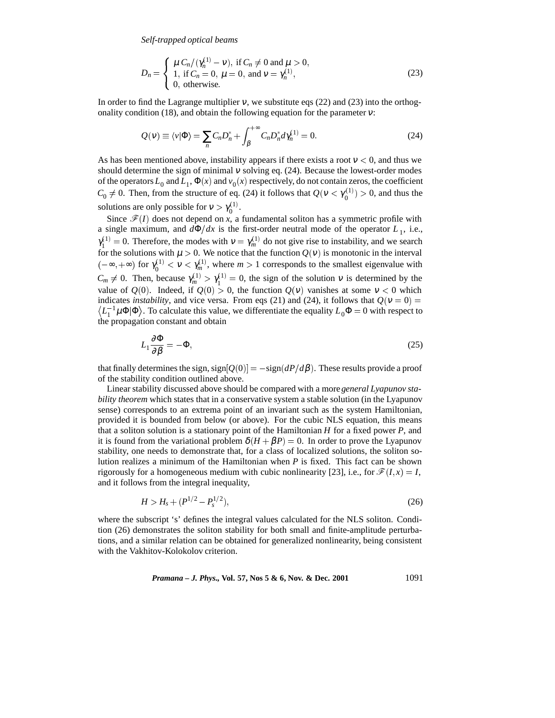$$
D_n = \begin{cases} \mu C_n/(\gamma_n^{(1)} - \nu), & \text{if } C_n \neq 0 \text{ and } \mu > 0, \\ 1, & \text{if } C_n = 0, \ \mu = 0, \text{ and } \nu = \gamma_n^{(1)}, \\ 0, & \text{otherwise.} \end{cases}
$$
(23)

In order to find the Lagrange multiplier  $v$ , we substitute eqs (22) and (23) into the orthogonality condition (18), and obtain the following equation for the parameter  $v$ :

$$
Q(v) \equiv \langle v | \Phi \rangle = \sum_{n} C_n D_n^* + \int_{\beta}^{+\infty} C_n D_n^* d\gamma_n^{(1)} = 0.
$$
 (24)

As has been mentioned above, instability appears if there exists a root  $v < 0$ , and thus we should determine the sign of minimal  $v$  solving eq. (24). Because the lowest-order modes of the operators  $L_0$  and  $L_1$ ,  $\Phi(x)$  and  $v_0(x)$  respectively, do not contain zeros, the coefficient  $C_0 \neq 0$ . Then, from the structure of eq. (24) it follows that  $Q(\nu < \gamma_0^{(1)}) > 0$ , and thus the solutions are only possible for  $v > \gamma_0^{(1)}$ .

Since  $\mathcal{F}(I)$  does not depend on *x*, a fundamental soliton has a symmetric profile with a single maximum, and  $d\Phi/dx$  is the first-order neutral mode of the operator  $L_1$ , i.e.,  $\gamma_1^{(1)} = 0$ . Therefore, the modes with  $v = \gamma_m^{(1)}$  do not give rise to instability, and we search for the solutions with  $\mu > 0$ . We notice that the function  $Q(v)$  is monotonic in the interval  $(-\infty, +\infty)$  for  $\gamma_0^{(1)} < v < \gamma_m^{(1)}$ , where  $m > 1$  corresponds to the smallest eigenvalue with  $C_m \neq 0$ . Then, because  $\gamma_m^{(1)} > \gamma_1^{(1)} = 0$ , the sign of the solution  $\nu$  is determined by the value of  $Q(0)$ . Indeed, if  $Q(0) > 0$ , the function  $Q(v)$  vanishes at some  $v < 0$  which indicates *instability*, and vice versa. From eqs (21) and (24), it follows that  $Q(v = 0) =$  $\langle L_1^{-1} \mu \Phi | \Phi \rangle$ . To calculate this value, we differentiate the equality  $L_0 \Phi = 0$  with respect to the propagation constant and obtain

$$
L_1 \frac{\partial \Phi}{\partial \beta} = -\Phi,\tag{25}
$$

that finally determines the sign,  $sign[Q(0)] = -sign(dP/d\beta)$ . These results provide a proof of the stability condition outlined above.

Linear stability discussed above should be compared with a more*general Lyapunov stability theorem* which states that in a conservative system a stable solution (in the Lyapunov sense) corresponds to an extrema point of an invariant such as the system Hamiltonian, provided it is bounded from below (or above). For the cubic NLS equation, this means that a soliton solution is a stationary point of the Hamiltonian *H* for a fixed power *P*, and it is found from the variational problem  $\delta(H + \beta P) = 0$ . In order to prove the Lyapunov stability, one needs to demonstrate that, for a class of localized solutions, the soliton solution realizes a minimum of the Hamiltonian when *P* is fixed. This fact can be shown rigorously for a homogeneous medium with cubic nonlinearity [23], i.e., for  $\mathcal{F}(I, x) = I$ , and it follows from the integral inequality,

$$
H > H_s + (P^{1/2} - P_s^{1/2}),\tag{26}
$$

where the subscript 's' defines the integral values calculated for the NLS soliton. Condition (26) demonstrates the soliton stability for both small and finite-amplitude perturbations, and a similar relation can be obtained for generalized nonlinearity, being consistent with the Vakhitov-Kolokolov criterion.

*Pramana – J. Phys.*, Vol. 57, Nos 5 & 6, Nov. & Dec. 2001 
$$
1091
$$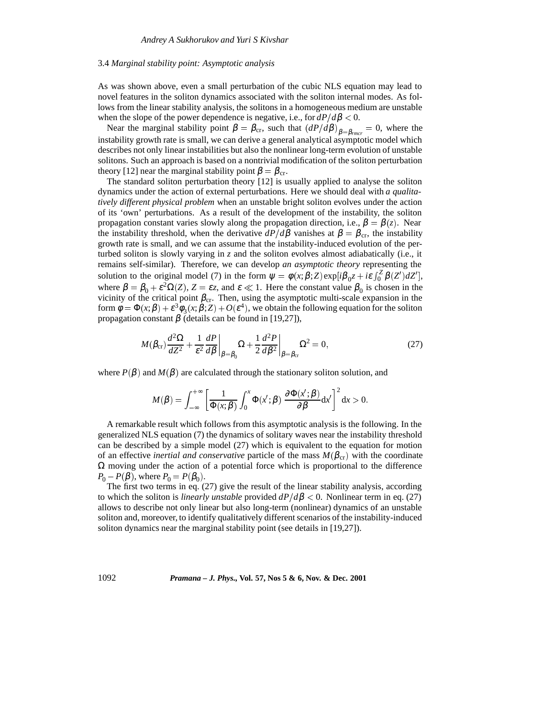#### 3.4 *Marginal stability point: Asymptotic analysis*

As was shown above, even a small perturbation of the cubic NLS equation may lead to novel features in the soliton dynamics associated with the soliton internal modes. As follows from the linear stability analysis, the solitons in a homogeneous medium are unstable when the slope of the power dependence is negative, i.e., for  $dP/d\beta < 0$ .

Near the marginal stability point  $\beta = \beta_{cr}$ , such that  $(dP/d\beta)_{\beta=\beta_{rmc}} = 0$ , where the instability growth rate is small, we can derive a general analytical asymptotic model which describes not only linear instabilities but also the nonlinear long-term evolution of unstable solitons. Such an approach is based on a nontrivial modification of the soliton perturbation theory [12] near the marginal stability point  $\beta = \beta_{cr}$ .

The standard soliton perturbation theory [12] is usually applied to analyse the soliton dynamics under the action of external perturbations. Here we should deal with *a qualitatively different physical problem* when an unstable bright soliton evolves under the action of its 'own' perturbations. As a result of the development of the instability, the soliton propagation constant varies slowly along the propagation direction, i.e.,  $\beta = \beta(z)$ . Near the instability threshold, when the derivative  $dP/d\beta$  vanishes at  $\beta = \beta_{cr}$ , the instability growth rate is small, and we can assume that the instability-induced evolution of the perturbed soliton is slowly varying in *z* and the soliton evolves almost adiabatically (i.e., it remains self-similar). Therefore, we can develop *an asymptotic theory* representing the solution to the original model (7) in the form  $\psi = \phi(x;\beta;Z) \exp[i\beta_0 z + i\epsilon \int_0^z \beta(Z') dZ']$ , where  $\beta = \beta_0 + \varepsilon^2 \Omega(Z)$ ,  $Z = \varepsilon z$ , and  $\varepsilon \ll 1$ . Here the constant value  $\beta_0$  is chosen in the vicinity of the critical point  $\beta_{cr}$ . Then, using the asymptotic multi-scale expansion in the form  $\phi = \Phi(x;\beta) + \varepsilon^3 \phi_3(x;\beta;Z) + O(\varepsilon^4)$ , we obtain the following equation for the soliton propagation constant  $\beta$  (details can be found in [19,27]),

$$
M(\beta_{cr})\frac{d^2\Omega}{dZ^2} + \frac{1}{\varepsilon^2}\frac{dP}{d\beta}\bigg|_{\beta=\beta_0}\Omega + \frac{1}{2}\frac{d^2P}{d\beta^2}\bigg|_{\beta=\beta_{cr}}\Omega^2 = 0,
$$
\n(27)

where  $P(\beta)$  and  $M(\beta)$  are calculated through the stationary soliton solution, and

$$
M(\beta) = \int_{-\infty}^{+\infty} \left[ \frac{1}{\Phi(x;\beta)} \int_0^x \Phi(x';\beta) \frac{\partial \Phi(x';\beta)}{\partial \beta} dx' \right]^2 dx > 0.
$$

A remarkable result which follows from this asymptotic analysis is the following. In the generalized NLS equation (7) the dynamics of solitary waves near the instability threshold can be described by a simple model (27) which is equivalent to the equation for motion of an effective *inertial and conservative* particle of the mass  $M(\beta_{cr})$  with the coordinate  $\Omega$  moving under the action of a potential force which is proportional to the difference  $P_0 - P(\beta)$ , where  $P_0 = P(\beta_0)$ .

The first two terms in eq. (27) give the result of the linear stability analysis, according to which the soliton is *linearly unstable* provided  $dP/d\beta < 0$ . Nonlinear term in eq. (27) allows to describe not only linear but also long-term (nonlinear) dynamics of an unstable soliton and, moreover, to identify qualitatively different scenarios of the instability-induced soliton dynamics near the marginal stability point (see details in [19,27]).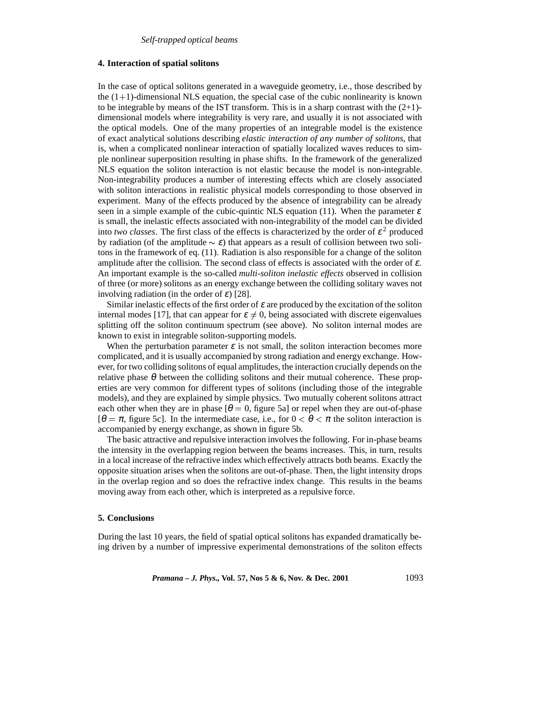## **4. Interaction of spatial solitons**

In the case of optical solitons generated in a waveguide geometry, i.e., those described by the  $(1+1)$ -dimensional NLS equation, the special case of the cubic nonlinearity is known to be integrable by means of the IST transform. This is in a sharp contrast with the  $(2+1)$ dimensional models where integrability is very rare, and usually it is not associated with the optical models. One of the many properties of an integrable model is the existence of exact analytical solutions describing *elastic interaction of any number of solitons*, that is, when a complicated nonlinear interaction of spatially localized waves reduces to simple nonlinear superposition resulting in phase shifts. In the framework of the generalized NLS equation the soliton interaction is not elastic because the model is non-integrable. Non-integrability produces a number of interesting effects which are closely associated with soliton interactions in realistic physical models corresponding to those observed in experiment. Many of the effects produced by the absence of integrability can be already seen in a simple example of the cubic-quintic NLS equation (11). When the parameter  $\varepsilon$ is small, the inelastic effects associated with non-integrability of the model can be divided into *two classes*. The first class of the effects is characterized by the order of  $\epsilon^2$  produced by radiation (of the amplitude  $\sim \varepsilon$ ) that appears as a result of collision between two solitons in the framework of eq. (11). Radiation is also responsible for a change of the soliton amplitude after the collision. The second class of effects is associated with the order of  $\varepsilon$ . An important example is the so-called *multi-soliton inelastic effects* observed in collision of three (or more) solitons as an energy exchange between the colliding solitary waves not involving radiation (in the order of  $\varepsilon$ ) [28].

Similar inelastic effects of the first order of  $\varepsilon$  are produced by the excitation of the soliton internal modes [17], that can appear for  $\varepsilon \neq 0$ , being associated with discrete eigenvalues splitting off the soliton continuum spectrum (see above). No soliton internal modes are known to exist in integrable soliton-supporting models.

When the perturbation parameter  $\varepsilon$  is not small, the soliton interaction becomes more complicated, and it is usually accompanied by strong radiation and energy exchange. However, for two colliding solitons of equal amplitudes, the interaction crucially depends on the relative phase  $\theta$  between the colliding solitons and their mutual coherence. These properties are very common for different types of solitons (including those of the integrable models), and they are explained by simple physics. Two mutually coherent solitons attract each other when they are in phase  $[\theta = 0$ , figure 5a] or repel when they are out-of-phase  $[\theta = \pi, \text{ figure 5c}].$  In the intermediate case, i.e., for  $0 < \theta < \pi$  the soliton interaction is accompanied by energy exchange, as shown in figure 5b.

The basic attractive and repulsive interaction involves the following. For in-phase beams the intensity in the overlapping region between the beams increases. This, in turn, results in a local increase of the refractive index which effectively attracts both beams. Exactly the opposite situation arises when the solitons are out-of-phase. Then, the light intensity drops in the overlap region and so does the refractive index change. This results in the beams moving away from each other, which is interpreted as a repulsive force.

## **5. Conclusions**

During the last 10 years, the field of spatial optical solitons has expanded dramatically being driven by a number of impressive experimental demonstrations of the soliton effects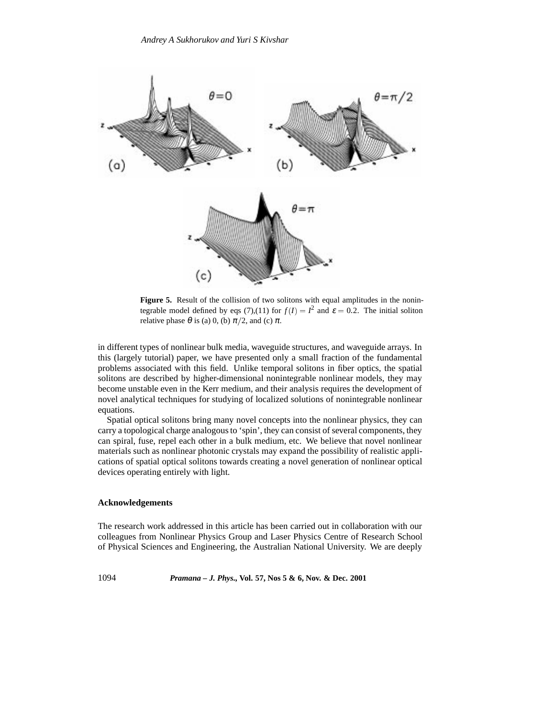

**Figure 5.** Result of the collision of two solitons with equal amplitudes in the nonintegrable model defined by eqs (7),(11) for  $f(I) = I^2$  and  $\varepsilon = 0.2$ . The initial soliton relative phase  $\theta$  is (a) 0, (b)  $\pi/2$ , and (c)  $\pi$ .

in different types of nonlinear bulk media, waveguide structures, and waveguide arrays. In this (largely tutorial) paper, we have presented only a small fraction of the fundamental problems associated with this field. Unlike temporal solitons in fiber optics, the spatial solitons are described by higher-dimensional nonintegrable nonlinear models, they may become unstable even in the Kerr medium, and their analysis requires the development of novel analytical techniques for studying of localized solutions of nonintegrable nonlinear equations.

Spatial optical solitons bring many novel concepts into the nonlinear physics, they can carry a topological charge analogous to 'spin', they can consist of several components, they can spiral, fuse, repel each other in a bulk medium, etc. We believe that novel nonlinear materials such as nonlinear photonic crystals may expand the possibility of realistic applications of spatial optical solitons towards creating a novel generation of nonlinear optical devices operating entirely with light.

# **Acknowledgements**

The research work addressed in this article has been carried out in collaboration with our colleagues from Nonlinear Physics Group and Laser Physics Centre of Research School of Physical Sciences and Engineering, the Australian National University. We are deeply